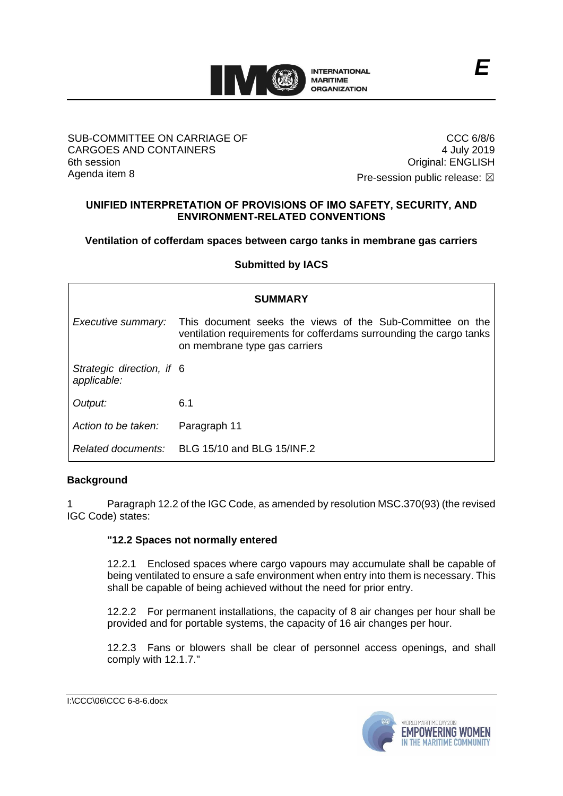

#### SUB-COMMITTEE ON CARRIAGE OF CARGOES AND CONTAINERS 6th session Agenda item 8

CCC 6/8/6 4 July 2019 Original: ENGLISH

Pre-session public release:  $\boxtimes$ 

## **UNIFIED INTERPRETATION OF PROVISIONS OF IMO SAFETY, SECURITY, AND ENVIRONMENT-RELATED CONVENTIONS**

### **Ventilation of cofferdam spaces between cargo tanks in membrane gas carriers**

**Submitted by IACS**

| <b>SUMMARY</b>                           |                                                                                                                                                                   |
|------------------------------------------|-------------------------------------------------------------------------------------------------------------------------------------------------------------------|
| Executive summary:                       | This document seeks the views of the Sub-Committee on the<br>ventilation requirements for cofferdams surrounding the cargo tanks<br>on membrane type gas carriers |
| Strategic direction, if 6<br>applicable: |                                                                                                                                                                   |
| Output:                                  | 6.1                                                                                                                                                               |
| Action to be taken:                      | Paragraph 11                                                                                                                                                      |
| Related documents:                       | BLG 15/10 and BLG 15/INF.2                                                                                                                                        |

### **Background**

Paragraph 12.2 of the IGC Code, as amended by resolution MSC.370(93) (the revised IGC Code) states:

#### **"12.2 Spaces not normally entered**

12.2.1 Enclosed spaces where cargo vapours may accumulate shall be capable of being ventilated to ensure a safe environment when entry into them is necessary. This shall be capable of being achieved without the need for prior entry.

12.2.2 For permanent installations, the capacity of 8 air changes per hour shall be provided and for portable systems, the capacity of 16 air changes per hour.

12.2.3 Fans or blowers shall be clear of personnel access openings, and shall comply with 12.1.7."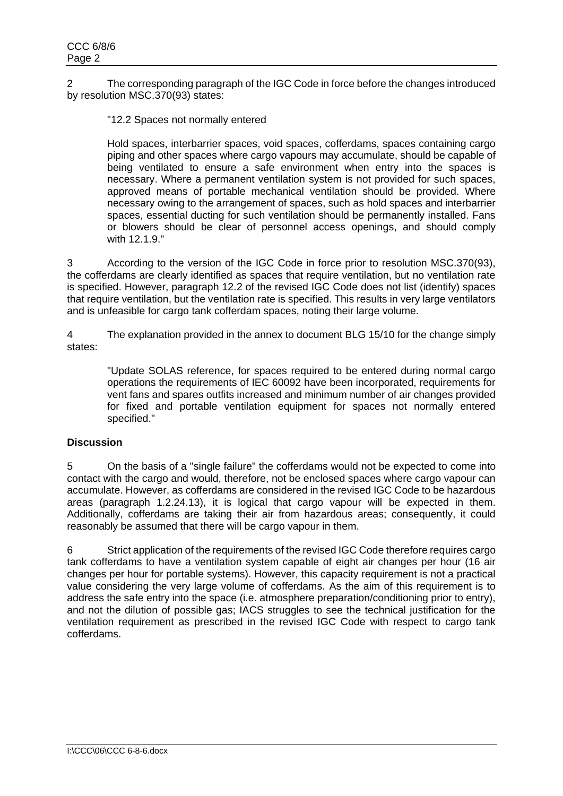2 The corresponding paragraph of the IGC Code in force before the changes introduced by resolution MSC.370(93) states:

"12.2 Spaces not normally entered

Hold spaces, interbarrier spaces, void spaces, cofferdams, spaces containing cargo piping and other spaces where cargo vapours may accumulate, should be capable of being ventilated to ensure a safe environment when entry into the spaces is necessary. Where a permanent ventilation system is not provided for such spaces, approved means of portable mechanical ventilation should be provided. Where necessary owing to the arrangement of spaces, such as hold spaces and interbarrier spaces, essential ducting for such ventilation should be permanently installed. Fans or blowers should be clear of personnel access openings, and should comply with 12.1.9."

3 According to the version of the IGC Code in force prior to resolution MSC.370(93), the cofferdams are clearly identified as spaces that require ventilation, but no ventilation rate is specified. However, paragraph 12.2 of the revised IGC Code does not list (identify) spaces that require ventilation, but the ventilation rate is specified. This results in very large ventilators and is unfeasible for cargo tank cofferdam spaces, noting their large volume.

4 The explanation provided in the annex to document BLG 15/10 for the change simply states:

"Update SOLAS reference, for spaces required to be entered during normal cargo operations the requirements of IEC 60092 have been incorporated, requirements for vent fans and spares outfits increased and minimum number of air changes provided for fixed and portable ventilation equipment for spaces not normally entered specified."

### **Discussion**

5 On the basis of a "single failure" the cofferdams would not be expected to come into contact with the cargo and would, therefore, not be enclosed spaces where cargo vapour can accumulate. However, as cofferdams are considered in the revised IGC Code to be hazardous areas (paragraph 1.2.24.13), it is logical that cargo vapour will be expected in them. Additionally, cofferdams are taking their air from hazardous areas; consequently, it could reasonably be assumed that there will be cargo vapour in them.

6 Strict application of the requirements of the revised IGC Code therefore requires cargo tank cofferdams to have a ventilation system capable of eight air changes per hour (16 air changes per hour for portable systems). However, this capacity requirement is not a practical value considering the very large volume of cofferdams. As the aim of this requirement is to address the safe entry into the space (i.e. atmosphere preparation/conditioning prior to entry), and not the dilution of possible gas; IACS struggles to see the technical justification for the ventilation requirement as prescribed in the revised IGC Code with respect to cargo tank cofferdams.